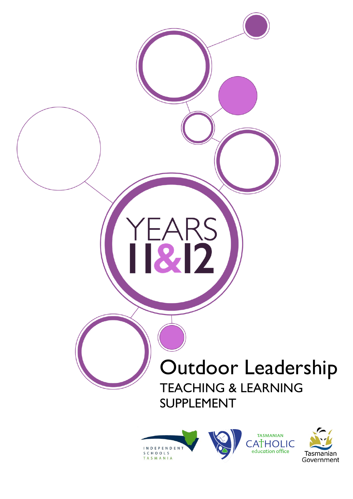

SCHOOLS

TASMANIA



education office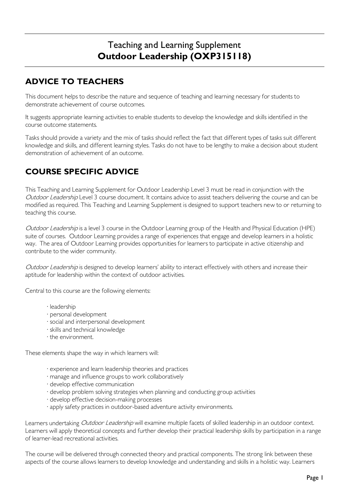# Teaching and Learning Supplement **Outdoor Leadership (OXP315118)**

# **ADVICE TO TEACHERS**

This document helps to describe the nature and sequence of teaching and learning necessary for students to demonstrate achievement of course outcomes.

It suggests appropriate learning activities to enable students to develop the knowledge and skills identified in the course outcome statements.

Tasks should provide a variety and the mix of tasks should reflect the fact that different types of tasks suit different knowledge and skills, and different learning styles. Tasks do not have to be lengthy to make a decision about student demonstration of achievement of an outcome.

# **COURSE SPECIFIC ADVICE**

This Teaching and Learning Supplement for Outdoor Leadership Level 3 must be read in conjunction with the Outdoor Leadership Level 3 course document. It contains advice to assist teachers delivering the course and can be modified as required. This Teaching and Learning Supplement is designed to support teachers new to or returning to teaching this course.

Outdoor Leadership is a level 3 course in the Outdoor Learning group of the Health and Physical Education (HPE) suite of courses. Outdoor Learning provides a range of experiences that engage and develop learners in a holistic way. The area of Outdoor Learning provides opportunities for learners to participate in active citizenship and contribute to the wider community.

Outdoor Leadership is designed to develop learners' ability to interact effectively with others and increase their aptitude for leadership within the context of outdoor activities.

Central to this course are the following elements:

- · leadership
- · personal development
- · social and interpersonal development
- · skills and technical knowledge
- · the environment.

These elements shape the way in which learners will:

- · experience and learn leadership theories and practices
- · manage and influence groups to work collaboratively
- · develop effective communication
- · develop problem solving strategies when planning and conducting group activities
- · develop effective decision-making processes
- · apply safety practices in outdoor-based adventure activity environments.

Learners undertaking Outdoor Leadership will examine multiple facets of skilled leadership in an outdoor context. Learners will apply theoretical concepts and further develop their practical leadership skills by participation in a range of learner-lead recreational activities.

The course will be delivered through connected theory and practical components. The strong link between these aspects of the course allows learners to develop knowledge and understanding and skills in a holistic way. Learners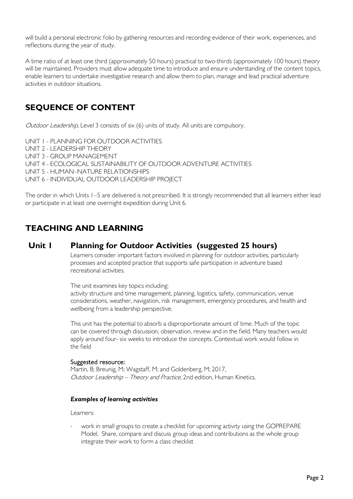will build a personal electronic folio by gathering resources and recording evidence of their work, experiences, and reflections during the year of study.

A time ratio of at least one third (approximately 50 hours) practical to two-thirds (approximately 100 hours) theory will be maintained. Providers must allow adequate time to introduce and ensure understanding of the content topics, enable learners to undertake investigative research and allow them to plan, manage and lead practical adventure activities in outdoor situations.

# **SEQUENCE OF CONTENT**

Outdoor Leadership, Level 3 consists of six (6) units of study. All units are compulsory.

UNIT 1 - PLANNING FOR OUTDOOR ACTIVITIES UNIT 2 - LEADERSHIP THEORY UNIT 3 - GROUP MANAGEMENT UNIT 4 - ECOLOGICAL SUSTAINABILITY OF OUTDOOR ADVENTURE ACTIVITIES UNIT 5 - HUMAN–NATURE RELATIONSHIPS UNIT 6 - INDIVIDUAL OUTDOOR LEADERSHIP PROJECT

The order in which Units 1–5 are delivered is not prescribed. It is strongly recommended that all learners either lead or participate in at least one overnight expedition during Unit 6.

# **TEACHING AND LEARNING**

## **Unit 1 Planning for Outdoor Activities (suggested 25 hours)**

Learners consider important factors involved in planning for outdoor activities, particularly processes and accepted practice that supports safe participation in adventure based recreational activities.

The unit examines key topics including:

activity structure and time management, planning, logistics, safety, communication, venue considerations, weather, navigation, risk management, emergency procedures, and health and wellbeing from a leadership perspective.

This unit has the potential to absorb a disproportionate amount of time. Much of the topic can be covered through discussion, observation, review and in the field. Many teachers would apply around four- six weeks to introduce the concepts. Contextual work would follow in the field

#### Suggested resource:

Martin, B; Breunig, M; Wagstaff, M; and Goldenberg, M; 2017, Outdoor Leadership – Theory and Practice, 2nd edition, Human Kinetics.

#### *Examples of learning activities*

Learners:

work in small groups to create a checklist for upcoming activity using the GOPREPARE Model. Share, compare and discuss group ideas and contributions as the whole group integrate their work to form a class checklist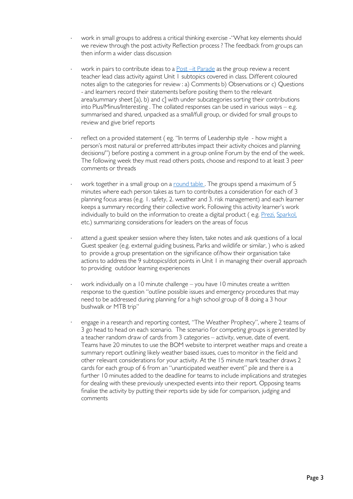- work in small groups to address a critical thinking exercise "What key elements should we review through the post activity Reflection process ? The feedback from groups can then inform a wider class discussion
- work in pairs to contribute ideas to a [Post –it Parade](http://www.queensu.ca/teachingandlearning/modules/active/12_exmples_of_active_learning_activities.html) as the group review a recent teacher lead class activity against Unit 1 subtopics covered in class. Different coloured notes align to the categories for review : a) Comments b) Observations or c) Questions - and learners record their statements before positing them to the relevant area/summary sheet [a), b) and c] with under subcategories sorting their contributions into Plus/Minus/Interesting . The collated responses can be used in various ways – e.g. summarised and shared, unpacked as a small/full group, or divided for small groups to review and give brief reports
- reflect on a provided statement ( eg. "In terms of Leadership style how might a person's most natural or preferred attributes impact their activity choices and planning decisions/") before posting a comment in a group online Forum by the end of the week. The following week they must read others posts, choose and respond to at least 3 peer comments or threads
- work together in a small group on a round table. The groups spend a maximum of 5 minutes where each person takes as turn to contributes a consideration for each of 3 planning focus areas (e.g. 1. safety, 2. weather and 3. risk management) and each learner keeps a summary recording their collective work. Following this activity learner's work individually to build on the information to create a digital product ( e.g. [Prezi,](https://prezi.com/) [Sparkol,](https://www.sparkol.com/en/) etc.) summarizing considerations for leaders on the areas of focus
- attend a guest speaker session where they listen, take notes and ask questions of a local Guest speaker (e.g. external guiding business, Parks and wildlife or similar, ) who is asked to provide a group presentation on the significance of/how their organisation take actions to address the 9 subtopics/dot points in Unit 1 in managing their overall approach to providing outdoor learning experiences
- work individually on a 10 minute challenge you have 10 minutes create a written response to the question "outline possible issues and emergency procedures that may need to be addressed during planning for a high school group of 8 doing a 3 hour bushwalk or MTB trip"
- ∙ engage in a research and reporting contest, "The Weather Prophecy", where 2 teams of 3 go head to head on each scenario. The scenario for competing groups is generated by a teacher random draw of cards from 3 categories – activity, venue, date of event. Teams have 20 minutes to use the BOM website to interpret weather maps and create a summary report outlining likely weather based issues, cues to monitor in the field and other relevant considerations for your activity. At the 15 minute mark teacher draws 2 cards for each group of 6 from an "unanticipated weather event" pile and there is a further 10 minutes added to the deadline for teams to include implications and strategies for dealing with these previously unexpected events into their report. Opposing teams finalise the activity by putting their reports side by side for comparison, judging and comments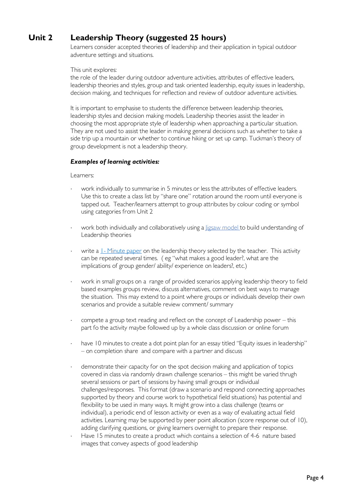# **Unit 2 Leadership Theory (suggested 25 hours)**

Learners consider accepted theories of leadership and their application in typical outdoor adventure settings and situations.

#### This unit explores:

the role of the leader during outdoor adventure activities, attributes of effective leaders, leadership theories and styles, group and task oriented leadership, equity issues in leadership, decision making, and techniques for reflection and review of outdoor adventure activities.

It is important to emphasise to students the difference between leadership theories, leadership styles and decision making models. Leadership theories assist the leader in choosing the most appropriate style of leadership when approaching a particular situation. They are not used to assist the leader in making general decisions such as whether to take a side trip up a mountain or whether to continue hiking or set up camp. Tuckman's theory of group development is not a leadership theory.

#### *Examples of learning activities:*

- work individually to summarise in 5 minutes or less the attributes of effective leaders. Use this to create a class list by "share one" rotation around the room until everyone is tapped out. Teacher/learners attempt to group attributes by colour coding or symbol using categories from Unit 2
- work both individually and collaboratively using a ligsaw model to build understanding of Leadership theories
- write a 1- [Minute paper](http://www.queensu.ca/teachingandlearning/modules/active/12_exmples_of_active_learning_activities.html) on the leadership theory selected by the teacher. This activity can be repeated several times. ( eg "what makes a good leader?, what are the implications of group gender/ ability/ experience on leaders?, etc.)
- work in small groups on a range of provided scenarios applying leadership theory to field based examples groups review, discuss alternatives, comment on best ways to manage the situation. This may extend to a point where groups or individuals develop their own scenarios and provide a suitable review comment/ summary
- compete a group text reading and reflect on the concept of Leadership power this part fo the activity maybe followed up by a whole class discussion or online forum
- have 10 minutes to create a dot point plan for an essay titled "Equity issues in leadership" – on completion share and compare with a partner and discuss
- demonstrate their capacity for on the spot decision making and application of topics covered in class via randomly drawn challenge scenarios – this might be varied thrugh several sessions or part of sessions by having small groups or individual challenges/responses. This format (draw a scenario and respond connecting approaches supported by theory and course work to hypothetical field situations) has potential and flexibility to be used in many ways. It might grow into a class challenge (teams or individual), a periodic end of lesson activity or even as a way of evaluating actual field activities. Learning may be supported by peer point allocation (score response out of 10), adding clarifying questions, or giving learners overnight to prepare their response.
- Have 15 minutes to create a product which contains a selection of 4-6 nature based images that convey aspects of good leadership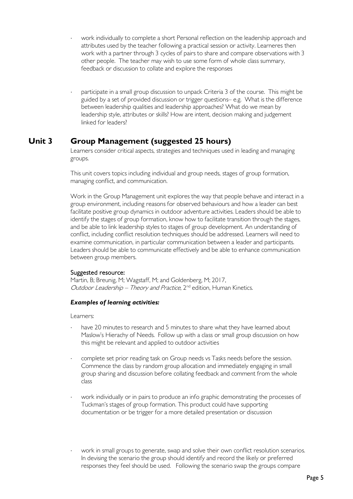- work individually to complete a short Personal reflection on the leadership approach and attributes used by the teacher following a practical session or activity. Learneres then work with a partner through 3 cycles of pairs to share and compare observations with 3 other people. The teacher may wish to use some form of whole class summary, feedback or discussion to collate and explore the responses
- participate in a small group discussion to unpack Criteria 3 of the course. This might be guided by a set of provided discussion or trigger questions– e.g. What is the difference between leadership qualities and leadership approaches? What do we mean by leadership style, attributes or skills? How are intent, decision making and judgement linked for leaders?

## **Unit 3 Group Management (suggested 25 hours)**

Learners consider critical aspects, strategies and techniques used in leading and managing groups.

This unit covers topics including individual and group needs, stages of group formation, managing conflict, and communication.

Work in the Group Management unit explores the way that people behave and interact in a group environment, including reasons for observed behaviours and how a leader can best facilitate positive group dynamics in outdoor adventure activities. Leaders should be able to identify the stages of group formation, know how to facilitate transition through the stages, and be able to link leadership styles to stages of group development. An understanding of conflict, including conflict resolution techniques should be addressed. Learners will need to examine communication, in particular communication between a leader and participants. Leaders should be able to communicate effectively and be able to enhance communication between group members.

#### Suggested resource:

Martin, B; Breunig, M; Wagstaff, M; and Goldenberg, M; 2017, Outdoor Leadership – Theory and Practice, 2<sup>nd</sup> edition, Human Kinetics.

#### *Examples of learning activities:*

- have 20 minutes to research and 5 minutes to share what they have learned about Maslow's Hierachy of Needs. Follow up with a class or small group discussion on how this might be relevant and applied to outdoor activities
- complete set prior reading task on Group needs vs Tasks needs before the session. Commence the class by random group allocation and immediately engaging in small group sharing and discussion before collating feedback and comment from the whole class
- work individually or in pairs to produce an info graphic demonstrating the processes of Tuckman's stages of group formation. This product could have supporting documentation or be trigger for a more detailed presentation or discussion
- work in small groups to generate, swap and solve their own conflict resolution scenarios. In devising the scenario the group should identify and record the likely or preferred responses they feel should be used. Following the scenario swap the groups compare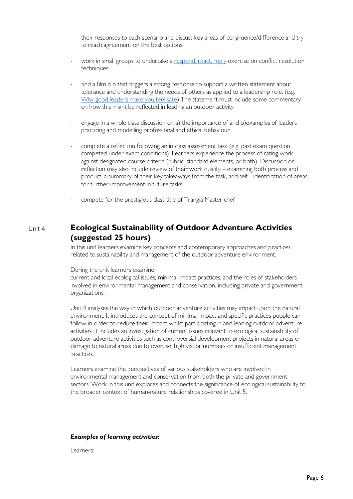their responses to each scenario and discuss key areas of congruence/difference and try to reach agreement on the best options

- work in small groups to undertake a [respond, react, reply](http://www.queensu.ca/teachingandlearning/modules/active/12_exmples_of_active_learning_activities.html) exercise on conflict resolution techniques
- find a film clip that triggers a strong response to support a written statement about tolerance and understanding the needs of others as applied to a leadership role. (e.g. [Why good leaders make you feel safe\)](https://www.ted.com/talks/simon_sinek_why_good_leaders_make_you_feel_safe/discussion?utm_source=twitter&source=twitter&utm_medium=social&utm_campaign=ios-share) The statement must include some commentary on how this might be reflected in leading an outdoor activity
- engage in a whole class discussion on a) the importance of and b)examples of leaders practicing and modelling professional and ethical behaviour
- complete a reflection following an in class assessment task (e.g. past exam question competed under exam conditions). Learners experience the process of rating work against designated course criteria (rubric, standard elements, or both). Discussion or reflection may also include review of their work quality – examining both process and product, a summary of their key takeaways from the task, and self - identification of areas for further improvement in future tasks
- compete for the prestigious class title of Trangia Master chef

## Unit 4 **Ecological Sustainability of Outdoor Adventure Activities (suggested 25 hours)**

In this unit learners examine key concepts and contemporary approaches and practices related to sustainability and management of the outdoor adventure environment.

During the unit learners examine:

current and local ecological issues, minimal impact practices, and the roles of stakeholders involved in environmental management and conservation, including private and government organizations.

Unit 4 analyses the way in which outdoor adventure activities may impact upon the natural environment. It introduces the concept of minimal impact and specific practices people can follow in order to reduce their impact whilst participating in and leading outdoor adventure activities. It includes an investigation of current issues relevant to ecological sustainability of outdoor adventure activities such as controversial development projects in natural areas or damage to natural areas due to overuse, high visitor numbers or insufficient management practices.

Learners examine the perspectives of various stakeholders who are involved in environmental management and conservation from both the private and government sectors. Work in this unit explores and connects the significance of ecological sustainability to the broader context of human-nature relationships covered in Unit 5.

#### *Examples of learning activities:*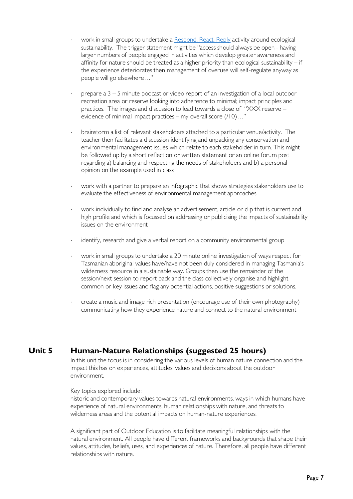- work in small groups to undertake a [Respond, React, Reply](http://www.queensu.ca/teachingandlearning/modules/active/12_exmples_of_active_learning_activities.html) activity around ecological sustainability. The trigger statement might be "access should always be open - having larger numbers of people engaged in activities which develop greater awareness and affinity for nature should be treated as a higher priority than ecological sustainability – if the experience deteriorates then management of overuse will self-regulate anyway as people will go elsewhere…"
- prepare a 3 5 minute podcast or video report of an investigation of a local outdoor recreation area or reserve looking into adherence to minimal; impact principles and practices. The images and discussion to lead towards a close of "XXX reserve – evidence of minimal impact practices – my overall score (/10)…"
- brainstorm a list of relevant stakeholders attached to a particular venue/activity. The teacher then facilitates a discussion identifying and unpacking any conservation and environmental management issues which relate to each stakeholder in turn. This might be followed up by a short reflection or written statement or an online forum post regarding a) balancing and respecting the needs of stakeholders and b) a personal opinion on the example used in class
- work with a partner to prepare an infographic that shows strategies stakeholders use to evaluate the effectiveness of environmental management approaches
- work individually to find and analyse an advertisement, article or clip that is current and high profile and which is focussed on addressing or publicising the impacts of sustainability issues on the environment
- identify, research and give a verbal report on a community environmental group
- work in small groups to undertake a 20 minute online investigation of ways respect for Tasmanian aboriginal values have/have not been duly considered in managing Tasmania's wilderness resource in a sustainable way. Groups then use the remainder of the session/next session to report back and the class collectively organise and highlight common or key issues and flag any potential actions, positive suggestions or solutions.
- ⋅ create a music and image rich presentation (encourage use of their own photography) communicating how they experience nature and connect to the natural environment

## **Unit 5 Human-Nature Relationships (suggested 25 hours)**

In this unit the focus is in considering the various levels of human nature connection and the impact this has on experiences, attitudes, values and decisions about the outdoor environment.

#### Key topics explored include:

historic and contemporary values towards natural environments, ways in which humans have experience of natural environments, human relationships with nature, and threats to wilderness areas and the potential impacts on human-nature experiences.

A significant part of Outdoor Education is to facilitate meaningful relationships with the natural environment. All people have different frameworks and backgrounds that shape their values, attitudes, beliefs, uses, and experiences of nature. Therefore, all people have different relationships with nature.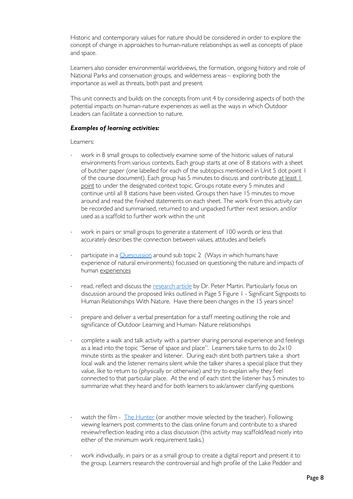Historic and contemporary values for nature should be considered in order to explore the concept of change in approaches to human-nature relationships as well as concepts of place and space.

Learners also consider environmental worldviews, the formation, ongoing history and role of National Parks and conservation groups, and wilderness areas – exploring both the importance as well as threats, both past and present.

This unit connects and builds on the concepts from unit 4 by considering aspects of both the potential impacts on human-nature experiences as well as the ways in which Outdoor Leaders can facilitate a connection to nature.

#### *Examples of learning activities:*

- work in 8 small groups to collectively examine some of the historic values of natural environments from various contexts. Each group starts at one of 8 stations with a sheet of butcher paper (one labelled for each of the subtopics mentioned in Unit 5 dot point 1 of the course document). Each group has 5 minutes to discuss and contribute at least 1 point to under the designated context topic. Groups rotate every 5 minutes and continue until all 8 stations have been visited. Groups then have 15 minutes to move around and read the finished statements on each sheet. The work from this activity can be recorded and summarised, returned to and unpacked further next session, and/or used as a scaffold to further work within the unit
- work in pairs or small groups to generate a statement of 100 words or less that accurately describes the connection between values, attitudes and beliefs
- participate in a **Quescussion** around sub topic 2 (Ways in which humans have experience of natural environments) focussed on questioning the nature and impacts of human experiences
- read, reflect and discuss the [research article](http://www.latrobe.edu.au/education/downloads/2004_conference_martin.pdf) by Dr. Peter Martin. Particularly focus on discussion around the proposed links outlined in Page 5 Figure 1 - Significant Signposts to Human Relationships With Nature. Have there been changes in the 15 years since?
- prepare and deliver a verbal presentation for a staff meeting outlining the role and significance of Outdoor Learning and Human- Nature relationships
- complete a walk and talk activity with a partner sharing personal experience and feelings as a lead into the topic "Sense of space and place". Learners take turns to do 2x10 minute stints as the speaker and listener. During each stint both partners take a short local walk and the listener remains silent while the talker shares a special place that they value, like to return to (physically or otherwise) and try to explain why they feel connected to that particular place. At the end of each stint the listener has 5 minutes to summarize what they heard and for both learners to ask/answer clarifying questions
- watch the film [The Hunter](https://www.youtube.com/watch?v=KgfB9kebFNI) (or another movie selected by the teacher). Following viewing learners post comments to the class online forum and contribute to a shared review/reflection leading into a class discussion (this activity may scaffold/lead nicely into either of the minimum work requirement tasks.)
- work individually, in pairs or as a small group to create a digital report and present it to the group. Learners research the controversial and high profile of the Lake Pedder and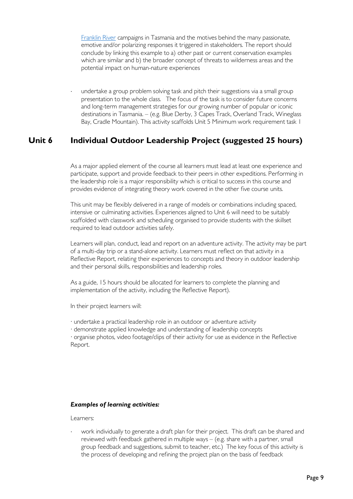[Franklin River](http://education.abc.net.au/home#!/media/521221/franklin-river-campaign) campaigns in Tasmania and the motives behind the many passionate, emotive and/or polarizing responses it triggered in stakeholders. The report should conclude by linking this example to a) other past or current conservation examples which are similar and b) the broader concept of threats to wilderness areas and the potential impact on human-nature experiences

undertake a group problem solving task and pitch their suggestions via a small group presentation to the whole class. The focus of the task is to consider future concerns and long-term management strategies for our growing number of popular or iconic destinations in Tasmania. – (e.g. Blue Derby, 3 Capes Track, Overland Track, Wineglass Bay, Cradle Mountain). This activity scaffolds Unit 5 Minimum work requirement task 1

## **Unit 6 Individual Outdoor Leadership Project (suggested 25 hours)**

As a major applied element of the course all learners must lead at least one experience and participate, support and provide feedback to their peers in other expeditions. Performing in the leadership role is a major responsibility which is critical to success in this course and provides evidence of integrating theory work covered in the other five course units.

This unit may be flexibly delivered in a range of models or combinations including spaced, intensive or culminating activities. Experiences aligned to Unit 6 will need to be suitably scaffolded with classwork and scheduling organised to provide students with the skillset required to lead outdoor activities safely.

Learners will plan, conduct, lead and report on an adventure activity. The activity may be part of a multi-day trip or a stand-alone activity. Learners must reflect on that activity in a Reflective Report, relating their experiences to concepts and theory in outdoor leadership and their personal skills, responsibilities and leadership roles.

As a guide, 15 hours should be allocated for learners to complete the planning and implementation of the activity, including the Reflective Report).

In their project learners will:

· undertake a practical leadership role in an outdoor or adventure activity

· demonstrate applied knowledge and understanding of leadership concepts

· organise photos, video footage/clips of their activity for use as evidence in the Reflective Report.

### *Examples of learning activities:*

Learners:

work individually to generate a draft plan for their project. This draft can be shared and reviewed with feedback gathered in multiple ways – (e.g. share with a partner, small group feedback and suggestions, submit to teacher, etc.) The key focus of this activity is the process of developing and refining the project plan on the basis of feedback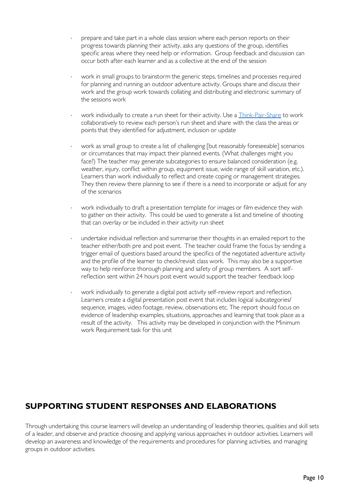- prepare and take part in a whole class session where each person reports on their progress towards planning their activity, asks any questions of the group, identifies specific areas where they need help or information. Group feedback and discussion can occur both after each learner and as a collective at the end of the session
- work in small groups to brainstorm the generic steps, timelines and processes required for planning and running an outdoor adventure activity. Groups share and discuss their work and the group work towards collating and distributing and electronic summary of the sessions work
- work individually to create a run sheet for their activity. Use a [Think-Pair-Share](http://www.uq.edu.au/teach/flipped-classroom/docs/FAB/FABThinkPairShareTipsheet.pdf) to work collaboratively to review each person's run sheet and share with the class the areas or points that they identified for adjustment, inclusion or update
- work as small group to create a list of challenging [but reasonably foreseeable] scenarios or circumstances that may impact their planned events. (What challenges might you face?) The teacher may generate subcategories to ensure balanced consideration (e.g. weather, injury, conflict within group, equipment issue, wide range of skill variation, etc.). Learners than work individually to reflect and create coping or management strategies. They then review there planning to see if there is a need to incorporate or adjust for any of the scenarios
- work individually to draft a presentation template for images or film evidence they wish to gather on their activity. This could be used to generate a list and timeline of shooting that can overlay or be included in their activity run sheet
- undertake individual reflection and summarise their thoughts in an emailed report to the teacher either/both pre and post event. The teacher could frame the focus by sending a trigger email of questions based around the specifics of the negotiated adventure activity and the profile of the learner to check/revisit class work. This may also be a supportive way to help reinforce thorough planning and safety of group members. A sort selfreflection sent within 24 hours post event would support the teacher feedback loop
- work individually to generate a digital post activity self-review report and reflection. Learners create a digital presentation post event that includes logical subcategories/ sequence, images, video footage, review, observations etc. The report should focus on evidence of leadership examples, situations, approaches and learning that took place as a result of the activity. This activity may be developed in conjunction with the Minimum work Requirement task for this unit

# **SUPPORTING STUDENT RESPONSES AND ELABORATIONS**

Through undertaking this course learners will develop an understanding of leadership theories, qualities and skill sets of a leader, and observe and practice choosing and applying various approaches in outdoor activities. Learners will develop an awareness and knowledge of the requirements and procedures for planning activities, and managing groups in outdoor activities.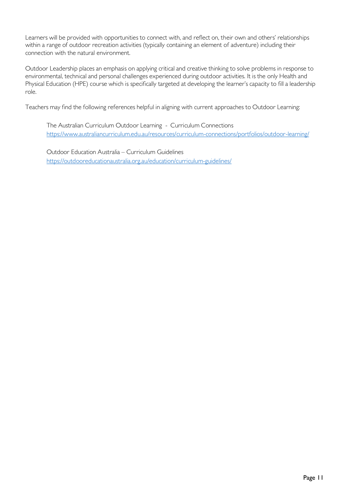Learners will be provided with opportunities to connect with, and reflect on, their own and others' relationships within a range of outdoor recreation activities (typically containing an element of adventure) including their connection with the natural environment.

Outdoor Leadership places an emphasis on applying critical and creative thinking to solve problems in response to environmental, technical and personal challenges experienced during outdoor activities. It is the only Health and Physical Education (HPE) course which is specifically targeted at developing the learner's capacity to fill a leadership role.

Teachers may find the following references helpful in aligning with current approaches to Outdoor Learning:

The Australian Curriculum Outdoor Learning - Curriculum Connections <https://www.australiancurriculum.edu.au/resources/curriculum-connections/portfolios/outdoor-learning/>

Outdoor Education Australia – Curriculum Guidelines <https://outdooreducationaustralia.org.au/education/curriculum-guidelines/>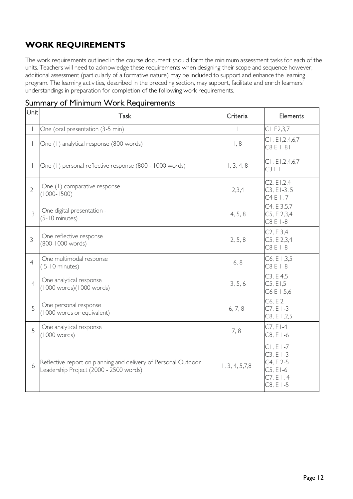# **WORK REQUIREMENTS**

The work requirements outlined in the course document should form the minimum assessment tasks for each of the units. Teachers will need to acknowledge these requirements when designing their scope and sequence however, additional assessment (particularly of a formative nature) may be included to support and enhance the learning program. The learning activities, described in the preceding section, may support, facilitate and enrich learners' understandings in preparation for completion of the following work requirements.

# Summary of Minimum Work Requirements

| Unit           | <b>Task</b>                                                                                              | Criteria         | Elements                                                                       |
|----------------|----------------------------------------------------------------------------------------------------------|------------------|--------------------------------------------------------------------------------|
|                | One (oral presentation (3-5 min)                                                                         |                  | CI E2,3,7                                                                      |
|                | One (1) analytical response (800 words)                                                                  | 1, 8             | CI, EI, 2, 4, 6, 7<br>C8 E 1-81                                                |
|                | One (1) personal reflective response (800 - 1000 words)                                                  | 1, 3, 4, 8       | CI, EI, 2, 4, 6, 7<br>C3E1                                                     |
| $\overline{2}$ | One (1) comparative response<br>$(1000 - 1500)$                                                          | 2,3,4            | C2, E1,2,4<br>$C3, E1-3, 5$<br>C4 E I, 7                                       |
| $\overline{3}$ | One digital presentation -<br>$(5 - 10 \text{ minutes})$                                                 | 4, 5, 8          | C4, E 3,5,7<br>C5, E 2,3,4<br>C8 E 1-8                                         |
| 3              | One reflective response<br>(800-1000 words)                                                              | 2, 5, 8          | C <sub>2</sub> , E <sub>3</sub> , 4<br>C5, E 2,3,4<br>C8 E 1-8                 |
| $\overline{4}$ | One multimodal response<br>$(5-10 \text{ minutes})$                                                      | 6, 8             | C6, E 1,3,5<br>C8 E 1-8                                                        |
| $\overline{4}$ | One analytical response<br>(1000 words)(1000 words)                                                      | 3, 5, 6          | C3, E4,5<br>C5, E1,5<br>C6 E 1,5,6                                             |
| 5              | One personal response<br>(1000 words or equivalent)                                                      | 6, 7, 8          | C6, E 2<br>$C7, E1-3$<br>C8, E1,,2,5                                           |
| 5              | One analytical response<br>(1000 words)                                                                  | 7,8              | $C7, E1-4$<br>C8, E I-6                                                        |
| 6              | Reflective report on planning and delivery of Personal Outdoor<br>Leadership Project (2000 - 2500 words) | 1, 3, 4, 5, 7, 8 | $CI, E1-7$<br>$C3, E1-3$<br>C4, E 2-5<br>$C5, E1-6$<br>C7, E1, 4<br>$C8, E1-5$ |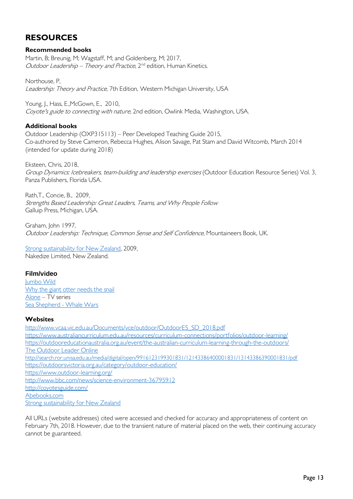# **RESOURCES**

#### **Recommended books**

Martin, B; Breunig, M; Wagstaff, M; and Goldenberg, M; 2017, Outdoor Leadership – Theory and Practice,  $2^{nd}$  edition, Human Kinetics.

Northouse, P, Leadership: Theory and Practice, 7th Edition, Western Michigan University, USA

Young, J., Hass, E.,McGown, E., 2010, Coyote's guide to connecting with nature, 2nd edition, Owlink Media, Washington, USA.

#### **Additional books**

Outdoor Leadership (OXP315113) – Peer Developed Teaching Guide 2015, Co-authored by Steve Cameron, Rebecca Hughes, Alison Savage, Pat Stam and David Witcomb, March 2014 (intended for update during 2018)

Eksteen, Chris, 2018, Group Dynamics: Icebreakers, team-building and leadership exercises (Outdoor Education Resource Series) Vol. 3, Panza Publishers, Florida USA.

Rath,T., Concie, B., 2009, Strengths Based Leadership: Great Leaders, Teams, and Why People Follow Galluip Press, Michigan, USA.

Graham, John 1997, Outdoor Leadership: Technique, Common Sense and Self Confidence, Mountaineers Book, UK.

[Strong sustainability for New Zealand,](https://docs.google.com/viewer?a=v&pid=sites&srcid=ZGVmYXVsdGRvbWFpbnxzdHJvbmdzdXN0YWluYWJpbGl0eXxneDo0ZGNmNWM1ZDgzNTY0MzU5) 2009, Nakedize Limited, New Zealand.

### **Film/video**

[Jumbo Wild](https://youtu.be/qNRYgn7T2C4) [Why the giant otter needs the snail](https://youtu.be/q5x0B_27EdA) [Alone](https://youtu.be/SrowegT_sOc) – TV series [Sea Shepherd -](https://youtu.be/WP7ZoO9aLZ8) Whale Wars

### **Websites**

[http://www.vcaa.vic.edu.au/Documents/vce/outdoor/OutdoorES\\_SD\\_2018.pdf](http://www.vcaa.vic.edu.au/Documents/vce/outdoor/OutdoorES_SD_2018.pdf) <https://www.australiancurriculum.edu.au/resources/curriculum-connections/portfolios/outdoor-learning/> <https://outdooreducationaustralia.org.au/event/the-australian-curriculum-learning-through-the-outdoors/> [The Outdoor Leader Online](http://outdoorleaderonline.org/content/olo/pagerend.php) <http://search.ror.unisa.edu.au/media/digital/open/9916123199301831/12143386400001831/13143386390001831/pdf> <https://outdoorsvictoria.org.au/category/outdoor-education/> <https://www.outdoor-learning.org/> <http://www.bbc.com/news/science-environment-36795912> <http://coyotesguide.com/> [Abebooks.com](https://www.abebooks.com/) [Strong sustainability for New Zealand](http://www.earthslimits.org/strong-sustainability-for-new-zealand/)

All URLs (website addresses) cited were accessed and checked for accuracy and appropriateness of content on February 7th, 2018. However, due to the transient nature of material placed on the web, their continuing accuracy cannot be guaranteed.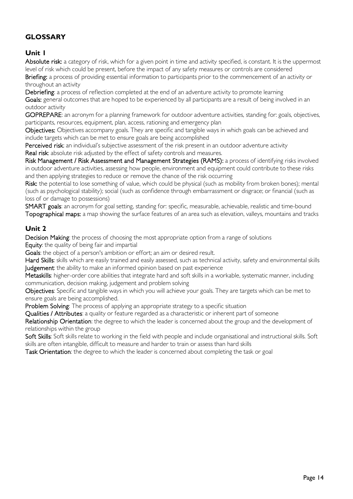## **GLOSSARY**

## **Unit 1**

Absolute risk: a category of risk, which for a given point in time and activity specified, is constant. It is the uppermost level of risk which could be present, before the impact of any safety measures or controls are considered

Briefing: a process of providing essential information to participants prior to the commencement of an activity or throughout an activity

Debriefing: a process of reflection completed at the end of an adventure activity to promote learning Goals: general outcomes that are hoped to be experienced by all participants are a result of being involved in an outdoor activity

GOPREPARE: an acronym for a planning framework for outdoor adventure activities, standing for: goals, objectives, participants, resources, equipment, plan, access, rationing and emergency plan

Objectives: Objectives accompany goals. They are specific and tangible ways in which goals can be achieved and include targets which can be met to ensure goals are being accomplished

Perceived risk: an individual's subjective assessment of the risk present in an outdoor adventure activity Real risk: absolute risk adjusted by the effect of safety controls and measures.

Risk Management / Risk Assessment and Management Strategies (RAMS): a process of identifying risks involved in outdoor adventure activities, assessing how people, environment and equipment could contribute to these risks and then applying strategies to reduce or remove the chance of the risk occurring

Risk: the potential to lose something of value, which could be physical (such as mobility from broken bones); mental (such as psychological stability); social (such as confidence through embarrassment or disgrace; or financial (such as loss of or damage to possessions)

SMART goals: an acronym for goal setting, standing for: specific, measurable, achievable, realistic and time-bound Topographical maps: a map showing the surface features of an area such as elevation, valleys, mountains and tracks

### **Unit 2**

Decision Making: the process of choosing the most appropriate option from a range of solutions

Equity: the quality of being fair and impartial

Goals: the object of a person's ambition or effort; an aim or desired result.

Hard Skills: skills which are easily trained and easily assessed, such as technical activity, safety and environmental skills Judgement: the ability to make an informed opinion based on past experience

Metaskills: higher-order core abilities that integrate hard and soft skills in a workable, systematic manner, including communication, decision making, judgement and problem solving

Objectives: Specific and tangible ways in which you will achieve your goals. They are targets which can be met to ensure goals are being accomplished.

Problem Solving: The process of applying an appropriate strategy to a specific situation

Qualities / Attributes: a quality or feature regarded as a characteristic or inherent part of someone

Relationship Orientation: the degree to which the leader is concerned about the group and the development of relationships within the group

Soft Skills: Soft skills relate to working in the field with people and include organisational and instructional skills. Soft skills are often intangible, difficult to measure and harder to train or assess than hard skills

Task Orientation: the degree to which the leader is concerned about completing the task or goal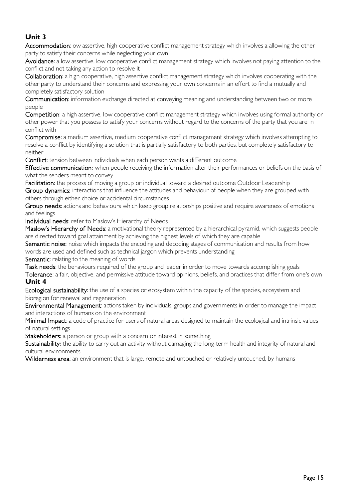## **Unit 3**

Accommodation: ow assertive, high cooperative conflict management strategy which involves a allowing the other party to satisfy their concerns while neglecting your own

Avoidance: a low assertive, low cooperative conflict management strategy which involves not paying attention to the conflict and not taking any action to resolve it

Collaboration: a high cooperative, high assertive conflict management strategy which involves cooperating with the other party to understand their concerns and expressing your own concerns in an effort to find a mutually and completely satisfactory solution

Communication: information exchange directed at conveying meaning and understanding between two or more people

Competition: a high assertive, low cooperative conflict management strategy which involves using formal authority or other power that you possess to satisfy your concerns without regard to the concerns of the party that you are in conflict with

Compromise: a medium assertive, medium cooperative conflict management strategy which involves attempting to resolve a conflict by identifying a solution that is partially satisfactory to both parties, but completely satisfactory to neither.

Conflict: tension between individuals when each person wants a different outcome

Effective communication: when people receiving the information alter their performances or beliefs on the basis of what the senders meant to convey

Facilitation: the process of moving a group or individual toward a desired outcome Outdoor Leadership Group dynamics: interactions that influence the attitudes and behaviour of people when they are grouped with others through either choice or accidental circumstances

Group needs: actions and behaviours which keep group relationships positive and require awareness of emotions and feelings

Individual needs: refer to Maslow's Hierarchy of Needs

Maslow's Hierarchy of Needs: a motivational theory represented by a hierarchical pyramid, which suggests people are directed toward goal attainment by achieving the highest levels of which they are capable

Semantic noise: noise which impacts the encoding and decoding stages of communication and results from how words are used and defined such as technical jargon which prevents understanding

Semantic: relating to the meaning of words

Task needs: the behaviours required of the group and leader in order to move towards accomplishing goals Tolerance: a fair, objective, and permissive attitude toward opinions, beliefs, and practices that differ from one's own **Unit 4**

Ecological sustainability: the use of a species or ecosystem within the capacity of the species, ecosystem and bioregion for renewal and regeneration

Environmental Management: actions taken by individuals, groups and governments in order to manage the impact and interactions of humans on the environment

Minimal Impact: a code of practice for users of natural areas designed to maintain the ecological and intrinsic values of natural settings

Stakeholders: a person or group with a concern or interest in something

Sustainability: the ability to carry out an activity without damaging the long-term health and integrity of natural and cultural environments

Wilderness area: an environment that is large, remote and untouched or relatively untouched, by humans